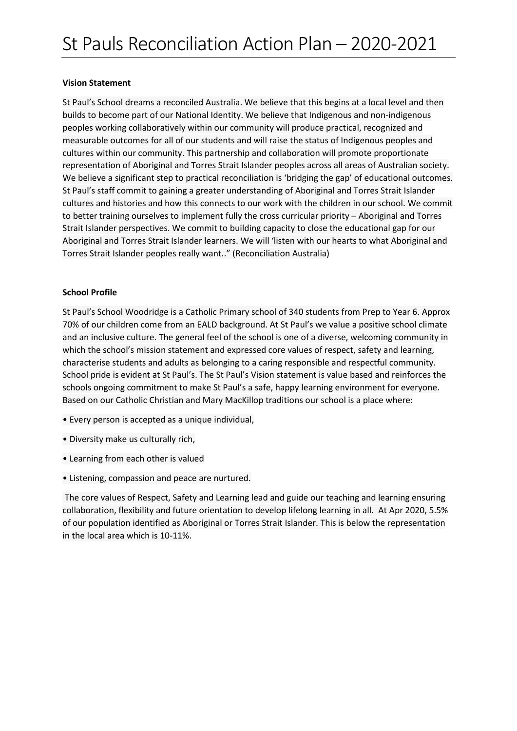#### **Vision Statement**

St Paul's School dreams a reconciled Australia. We believe that this begins at a local level and then builds to become part of our National Identity. We believe that Indigenous and non-indigenous peoples working collaboratively within our community will produce practical, recognized and measurable outcomes for all of our students and will raise the status of Indigenous peoples and cultures within our community. This partnership and collaboration will promote proportionate representation of Aboriginal and Torres Strait Islander peoples across all areas of Australian society. We believe a significant step to practical reconciliation is 'bridging the gap' of educational outcomes. St Paul's staff commit to gaining a greater understanding of Aboriginal and Torres Strait Islander cultures and histories and how this connects to our work with the children in our school. We commit to better training ourselves to implement fully the cross curricular priority – Aboriginal and Torres Strait Islander perspectives. We commit to building capacity to close the educational gap for our Aboriginal and Torres Strait Islander learners. We will 'listen with our hearts to what Aboriginal and Torres Strait Islander peoples really want.." (Reconciliation Australia)

### **School Profile**

St Paul's School Woodridge is a Catholic Primary school of 340 students from Prep to Year 6. Approx 70% of our children come from an EALD background. At St Paul's we value a positive school climate and an inclusive culture. The general feel of the school is one of a diverse, welcoming community in which the school's mission statement and expressed core values of respect, safety and learning, characterise students and adults as belonging to a caring responsible and respectful community. School pride is evident at St Paul's. The St Paul's Vision statement is value based and reinforces the schools ongoing commitment to make St Paul's a safe, happy learning environment for everyone. Based on our Catholic Christian and Mary MacKillop traditions our school is a place where:

- Every person is accepted as a unique individual,
- Diversity make us culturally rich,
- Learning from each other is valued
- Listening, compassion and peace are nurtured.

The core values of Respect, Safety and Learning lead and guide our teaching and learning ensuring collaboration, flexibility and future orientation to develop lifelong learning in all. At Apr 2020, 5.5% of our population identified as Aboriginal or Torres Strait Islander. This is below the representation in the local area which is 10-11%.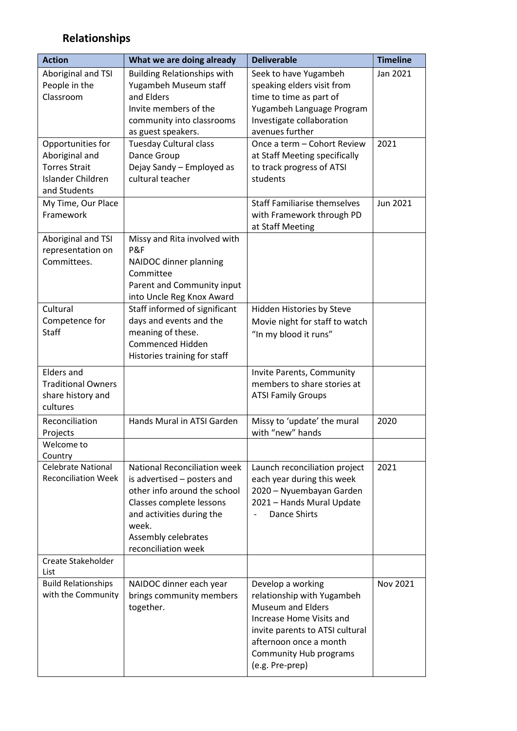# **Relationships**

| <b>Action</b>                                                                                    | What we are doing already                                                                                                                                                                                   | <b>Deliverable</b>                                                                                                                                                                                                | <b>Timeline</b> |
|--------------------------------------------------------------------------------------------------|-------------------------------------------------------------------------------------------------------------------------------------------------------------------------------------------------------------|-------------------------------------------------------------------------------------------------------------------------------------------------------------------------------------------------------------------|-----------------|
| Aboriginal and TSI<br>People in the<br>Classroom                                                 | <b>Building Relationships with</b><br>Yugambeh Museum staff<br>and Elders<br>Invite members of the<br>community into classrooms                                                                             | Seek to have Yugambeh<br>speaking elders visit from<br>time to time as part of<br>Yugambeh Language Program<br>Investigate collaboration                                                                          | Jan 2021        |
| Opportunities for<br>Aboriginal and<br><b>Torres Strait</b><br>Islander Children<br>and Students | as guest speakers.<br><b>Tuesday Cultural class</b><br>Dance Group<br>Dejay Sandy - Employed as<br>cultural teacher                                                                                         | avenues further<br>Once a term - Cohort Review<br>at Staff Meeting specifically<br>to track progress of ATSI<br>students                                                                                          | 2021            |
| My Time, Our Place<br>Framework                                                                  |                                                                                                                                                                                                             | <b>Staff Familiarise themselves</b><br>with Framework through PD<br>at Staff Meeting                                                                                                                              | Jun 2021        |
| Aboriginal and TSI<br>representation on<br>Committees.                                           | Missy and Rita involved with<br>P&F<br>NAIDOC dinner planning<br>Committee<br>Parent and Community input<br>into Uncle Reg Knox Award                                                                       |                                                                                                                                                                                                                   |                 |
| Cultural<br>Competence for<br><b>Staff</b>                                                       | Staff informed of significant<br>days and events and the<br>meaning of these.<br>Commenced Hidden<br>Histories training for staff                                                                           | Hidden Histories by Steve<br>Movie night for staff to watch<br>"In my blood it runs"                                                                                                                              |                 |
| <b>Elders and</b><br><b>Traditional Owners</b><br>share history and<br>cultures                  |                                                                                                                                                                                                             | Invite Parents, Community<br>members to share stories at<br><b>ATSI Family Groups</b>                                                                                                                             |                 |
| Reconciliation<br>Projects                                                                       | Hands Mural in ATSI Garden                                                                                                                                                                                  | Missy to 'update' the mural<br>with "new" hands                                                                                                                                                                   | 2020            |
| Welcome to<br>Country                                                                            |                                                                                                                                                                                                             |                                                                                                                                                                                                                   |                 |
| <b>Celebrate National</b><br><b>Reconciliation Week</b>                                          | National Reconciliation week<br>is advertised – posters and<br>other info around the school<br>Classes complete lessons<br>and activities during the<br>week.<br>Assembly celebrates<br>reconciliation week | Launch reconciliation project<br>each year during this week<br>2020 - Nyuembayan Garden<br>2021 - Hands Mural Update<br><b>Dance Shirts</b>                                                                       | 2021            |
| Create Stakeholder<br>List                                                                       |                                                                                                                                                                                                             |                                                                                                                                                                                                                   |                 |
| <b>Build Relationships</b><br>with the Community                                                 | NAIDOC dinner each year<br>brings community members<br>together.                                                                                                                                            | Develop a working<br>relationship with Yugambeh<br><b>Museum and Elders</b><br>Increase Home Visits and<br>invite parents to ATSI cultural<br>afternoon once a month<br>Community Hub programs<br>(e.g. Pre-prep) | Nov 2021        |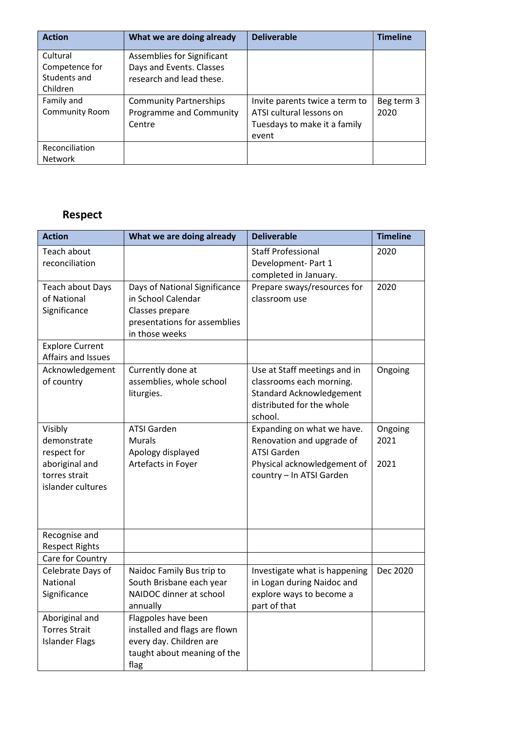| <b>Action</b>         | What we are doing already     | <b>Deliverable</b>             | <b>Timeline</b> |
|-----------------------|-------------------------------|--------------------------------|-----------------|
| Cultural              | Assemblies for Significant    |                                |                 |
| Competence for        | Days and Events. Classes      |                                |                 |
| Students and          | research and lead these.      |                                |                 |
| Children              |                               |                                |                 |
| Family and            | <b>Community Partnerships</b> | Invite parents twice a term to | Beg term 3      |
| <b>Community Room</b> | Programme and Community       | ATSI cultural lessons on       | 2020            |
|                       | Centre                        | Tuesdays to make it a family   |                 |
|                       |                               | event                          |                 |
| Reconciliation        |                               |                                |                 |
| <b>Network</b>        |                               |                                |                 |

### **Respect**

| <b>Action</b>                                                                                 | What we are doing already                                                                                                | <b>Deliverable</b>                                                                                                                       | <b>Timeline</b>         |
|-----------------------------------------------------------------------------------------------|--------------------------------------------------------------------------------------------------------------------------|------------------------------------------------------------------------------------------------------------------------------------------|-------------------------|
| Teach about<br>reconciliation                                                                 |                                                                                                                          | <b>Staff Professional</b><br>Development- Part 1<br>completed in January.                                                                | 2020                    |
| Teach about Days<br>of National<br>Significance                                               | Days of National Significance<br>in School Calendar<br>Classes prepare<br>presentations for assemblies<br>in those weeks | Prepare sways/resources for<br>classroom use                                                                                             | 2020                    |
| <b>Explore Current</b><br>Affairs and Issues                                                  |                                                                                                                          |                                                                                                                                          |                         |
| Acknowledgement<br>of country                                                                 | Currently done at<br>assemblies, whole school<br>liturgies.                                                              | Use at Staff meetings and in<br>classrooms each morning.<br><b>Standard Acknowledgement</b><br>distributed for the whole<br>school.      | Ongoing                 |
| Visibly<br>demonstrate<br>respect for<br>aboriginal and<br>torres strait<br>islander cultures | <b>ATSI Garden</b><br><b>Murals</b><br>Apology displayed<br>Artefacts in Foyer                                           | Expanding on what we have.<br>Renovation and upgrade of<br><b>ATSI Garden</b><br>Physical acknowledgement of<br>country - In ATSI Garden | Ongoing<br>2021<br>2021 |
| Recognise and<br><b>Respect Rights</b>                                                        |                                                                                                                          |                                                                                                                                          |                         |
| Care for Country                                                                              |                                                                                                                          |                                                                                                                                          |                         |
| Celebrate Days of<br><b>National</b><br>Significance                                          | Naidoc Family Bus trip to<br>South Brisbane each year<br>NAIDOC dinner at school<br>annually                             | Investigate what is happening<br>in Logan during Naidoc and<br>explore ways to become a<br>part of that                                  | Dec 2020                |
| Aboriginal and<br><b>Torres Strait</b><br><b>Islander Flags</b>                               | Flagpoles have been<br>installed and flags are flown<br>every day. Children are<br>taught about meaning of the<br>flag   |                                                                                                                                          |                         |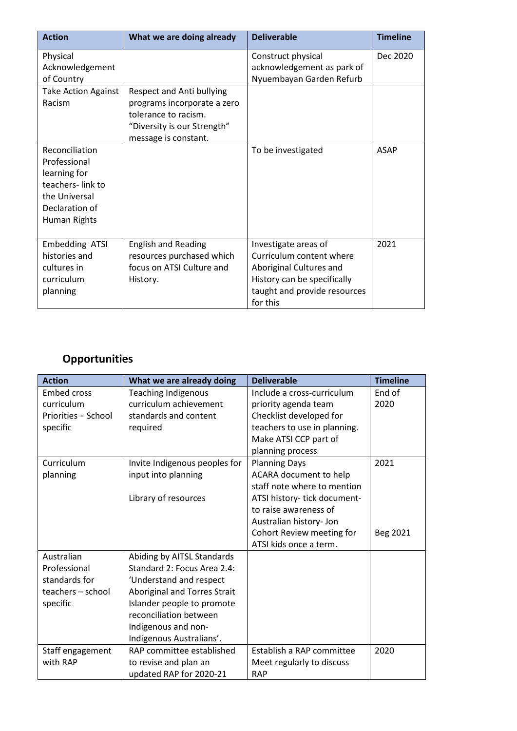| <b>Action</b>                                                                                                         | What we are doing already                                                                                                               | <b>Deliverable</b>                                                                                                                                     | <b>Timeline</b> |
|-----------------------------------------------------------------------------------------------------------------------|-----------------------------------------------------------------------------------------------------------------------------------------|--------------------------------------------------------------------------------------------------------------------------------------------------------|-----------------|
| Physical<br>Acknowledgement<br>of Country                                                                             |                                                                                                                                         | Construct physical<br>acknowledgement as park of<br>Nyuembayan Garden Refurb                                                                           | Dec 2020        |
| <b>Take Action Against</b><br>Racism                                                                                  | Respect and Anti bullying<br>programs incorporate a zero<br>tolerance to racism.<br>"Diversity is our Strength"<br>message is constant. |                                                                                                                                                        |                 |
| Reconciliation<br>Professional<br>learning for<br>teachers-link to<br>the Universal<br>Declaration of<br>Human Rights |                                                                                                                                         | To be investigated                                                                                                                                     | <b>ASAP</b>     |
| Embedding ATSI<br>histories and<br>cultures in<br>curriculum<br>planning                                              | <b>English and Reading</b><br>resources purchased which<br>focus on ATSI Culture and<br>History.                                        | Investigate areas of<br>Curriculum content where<br>Aboriginal Cultures and<br>History can be specifically<br>taught and provide resources<br>for this | 2021            |

## **Opportunities**

| <b>Action</b>       | What we are already doing     | <b>Deliverable</b>           | <b>Timeline</b> |
|---------------------|-------------------------------|------------------------------|-----------------|
| <b>Embed cross</b>  | <b>Teaching Indigenous</b>    | Include a cross-curriculum   | End of          |
| curriculum          | curriculum achievement        | priority agenda team         | 2020            |
| Priorities - School | standards and content         | Checklist developed for      |                 |
| specific            | required                      | teachers to use in planning. |                 |
|                     |                               | Make ATSI CCP part of        |                 |
|                     |                               | planning process             |                 |
| Curriculum          | Invite Indigenous peoples for | <b>Planning Days</b>         | 2021            |
| planning            | input into planning           | ACARA document to help       |                 |
|                     |                               | staff note where to mention  |                 |
|                     | Library of resources          | ATSI history- tick document- |                 |
|                     |                               | to raise awareness of        |                 |
|                     |                               | Australian history- Jon      |                 |
|                     |                               | Cohort Review meeting for    | Beg 2021        |
|                     |                               | ATSI kids once a term.       |                 |
| Australian          | Abiding by AITSL Standards    |                              |                 |
| Professional        | Standard 2: Focus Area 2.4:   |                              |                 |
| standards for       | 'Understand and respect       |                              |                 |
| teachers - school   | Aboriginal and Torres Strait  |                              |                 |
| specific            | Islander people to promote    |                              |                 |
|                     | reconciliation between        |                              |                 |
|                     | Indigenous and non-           |                              |                 |
|                     | Indigenous Australians'.      |                              |                 |
| Staff engagement    | RAP committee established     | Establish a RAP committee    | 2020            |
| with RAP            | to revise and plan an         | Meet regularly to discuss    |                 |
|                     | updated RAP for 2020-21       | <b>RAP</b>                   |                 |